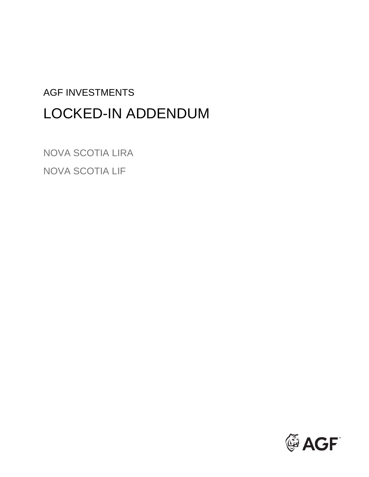# AGF INVESTMENTS LOCKED-IN ADDENDUM

NOVA SCOTIA LIRA NOVA SCOTIA LIF

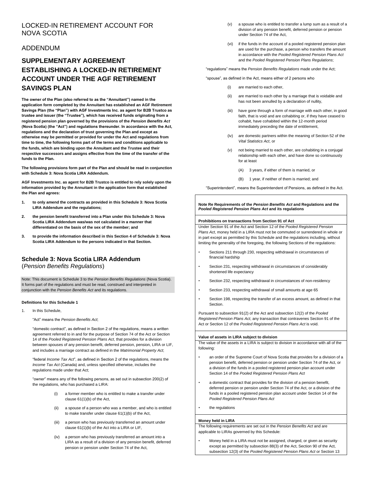# LOCKED-IN RETIREMENT ACCOUNT FOR NOVA SCOTIA

# ADDENDUM

# **ESTABLISHING A LOCKED-IN RETIREMENT ACCOUNT UNDER THE AGF RETIREMENT SUPPLEMENTARY AGREEMENT SAVINGS PLAN**

**The owner of the Plan (also referred to as the "Annuitant") named in the application form completed by the Annuitant has established an AGF Retirement Savings Plan (the "Plan") with AGF Investments Inc. as agent for B2B Trustco as trustee and issuer (the "Trustee"), which has received funds originating from a registered pension plan governed by the provisions of the** *Pension Benefits Act*  **(Nova Scotia) (the "Act") and regulations thereunder. In accordance with the Act, regulations and the declaration of trust governing the Plan and except as otherwise may be permitted or provided for under the Act and regulations from time to time, the following forms part of the terms and conditions applicable to the funds, which are binding upon the Annuitant and the Trustee and their respective successors and assigns effective from the time of the transfer of the funds to the Plan.** 

**The following provisions form part of the Plan and should be read in conjunction with Schedule 3: Nova Scotia LIRA Addendum.** 

**AGF Investments Inc. as agent for B2B Trustco is entitled to rely solely upon the information provided by the Annuitant in the application form that established the Plan and agrees:** 

- **1. to only amend the contracts as provided in this Schedule 3: Nova Scotia LIRA Addendum and the regulations;**
- **2. the pension benefit transferred into a Plan under this Schedule 3: Nova Scotia LIRA Addendum was/was not calculated in a manner that differentiated on the basis of the sex of the member; and**
- **3. to provide the information described in this Section 4 of Schedule 3: Nova Scotia LIRA Addendum to the persons indicated in that Section.**

# **Schedule 3: Nova Scotia LIRA Addendum**

(*Pension Benefits Regulations*)

Note: This document is Schedule 3 to the *Pension Benefits Regulations* (Nova Scotia). It forms part of the regulations and must be read, construed and interpreted in conjunction with the *Pension Benefits Act* and its regulations.

#### **Definitions for this Schedule 1**

1 In this Schedule

"Act" means the *Pension Benefits Act*;

"domestic contract", as defined in Section 2 of the regulations, means a written agreement referred to in and for the purpose of Section 74 of the Act or Section 14 of the *Pooled Registered Pension Plans Act*, that provides for a division between spouses of any pension benefit, deferred pension, pension, LIRA or LIF, and includes a marriage contract as defined in the *Matrimonial Property Act*;

"federal *Income Tax Act*", as defined in Section 2 of the regulations, means the *Income Tax Act* (Canada) and, unless specified otherwise, includes the regulations made under that Act;

"owner" means any of the following persons, as set out in subsection 200(2) of the regulations, who has purchased a LIRA:

- (i) a former member who is entitled to make a transfer under clause 61(1)(b) of the Act,
- (ii) a spouse of a person who was a member, and who is entitled to make transfer under clause 61(1)(b) of the Act,
- (iii) a person who has previously transferred an amount under clause 61(1)(b) of the Act into a LIRA or LIF,
- (iv) a person who has previously transferred an amount into a LIRA as a result of a division of any pension benefit, deferred pension or pension under Section 74 of the Act,
- (v) a spouse who is entitled to transfer a lump sum as a result of a division of any pension benefit, deferred pension or pension under Section 74 of the Act,
- (vi) if the funds in the account of a pooled registered pension plan are used for the purchase, a person who transfers the amount in accordance with the *Pooled Registered Pension Plans Act*  and the *Pooled Registered Pension Plans Regulations*;

"regulations" means the *Pension Benefits Regulations* made under the Act;

- "spouse", as defined in the Act, means either of 2 persons who
	- (i) are married to each other,
	- (ii) are married to each other by a marriage that is voidable and has not been annulled by a declaration of nullity,
	- (iii) have gone through a form of marriage with each other, in good faith, that is void and are cohabiting or, if they have ceased to cohabit, have cohabited within the 12-month period immediately preceding the date of entitlement,
	- (iv) are domestic partners within the meaning of Section 52 of the *Vital Statistics Act*, or
	- (v) not being married to each other, are cohabiting in a conjugal relationship with each other, and have done so continuously for at least
		- (A) 3 years, if either of them is married, or
		- (B) 1 year, if neither of them is married; and

"Superintendent", means the Superintendent of Pensions, as defined in the Act.

**Note Re Requirements of the** *Pension Benefits Act* **and Regulations and the**  *Pooled Registered Pension Plans Act* **and its regulations** 

# **Prohibitions on transactions from Section 91 of Act**

Under Section 91 of the Act and Section 12 of the *Pooled Registered Pension Plans Act*, money held in a LIRA must not be commuted or surrendered in whole or in part except as permitted by this Schedule and the regulations including, without limiting the generality of the foregoing, the following Sections of the regulations:

- Sections 211 through 230, respecting withdrawal in circumstances of financial hardship
- Section 231, respecting withdrawal in circumstances of considerably shortened life expectancy
- Section 232, respecting withdrawal in circumstances of non-residency
- Section 233, respecting withdrawal of small amounts at age 65
- Section 198, respecting the transfer of an excess amount, as defined in that Section.

Pursuant to subsection 91(2) of the Act and subsection 12(2) of the *Pooled Registered Pension Plans Act*, any transaction that contravenes Section 91 of the Act or Section 12 of the *Pooled Registered Pension Plans Act* is void.

## **Value of assets in LIRA subject to division**

The value of the assets in a LIRA is subject to division in accordance with all of the following:

- an order of the Supreme Court of Nova Scotia that provides for a division of a pension benefit, deferred pension or pension under Section 74 of the Act, or a division of the funds in a pooled registered pension plan account under Section 14 of the *Pooled Registered Pension Plans Act*
- a domestic contract that provides for the division of a pension benefit, deferred pension or pension under Section 74 of the Act, or a division of the funds in a pooled registered pension plan account under Section 14 of the *Pooled Registered Pension Plans Act*
- the regulations

# **Money held in LIRA**

The following requirements are set out in the *Pension Benefits Act* and are applicable to LIRAs governed by this Schedule:

• Money held in a LIRA must not be assigned, charged, or given as security except as permitted by subsection 88(3) of the Act, Section 90 of the Act, subsection 12(3) of the *Pooled Registered Pension Plans Act* or Section 13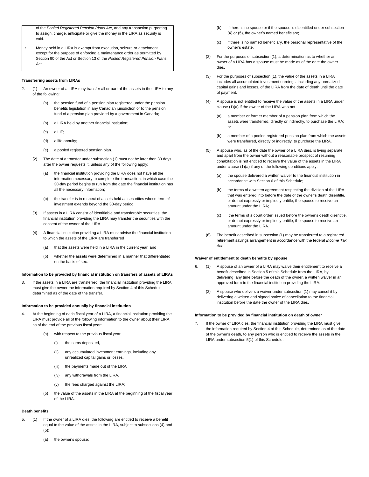of the *Pooled Registered Pension Plans Act*, and any transaction purporting to assign, charge, anticipate or give the money in the LIRA as security is void.

Money held in a LIRA is exempt from execution, seizure or attachment except for the purpose of enforcing a maintenance order as permitted by Section 90 of the Act or Section 13 of the *Pooled Registered Pension Plans Act*.

#### **Transferring assets from LIRAs**

- 2. (1) An owner of a LIRA may transfer all or part of the assets in the LIRA to any of the following:
	- (a) the pension fund of a pension plan registered under the pension benefits legislation in any Canadian jurisdiction or to the pension fund of a pension plan provided by a government in Canada;
	- (b) a LIRA held by another financial institution;
	- $(c)$  a LIF:
	- (d) a life annuity:
	- (e) a pooled registered pension plan.
	- (2) The date of a transfer under subsection (1) must not be later than 30 days after the owner requests it, unless any of the following apply:
		- (a) the financial institution providing the LIRA does not have all the information necessary to complete the transaction, in which case the 30-day period begins to run from the date the financial institution has all the necessary information;
		- (b) the transfer is in respect of assets held as securities whose term of investment extends beyond the 30-day period.
	- (3) If assets in a LIRA consist of identifiable and transferable securities, the financial institution providing the LIRA may transfer the securities with the consent of the owner of the LIRA.
	- A financial institution providing a LIRA must advise the financial institution to which the assets of the LIRA are transferred
		- (a) that the assets were held in a LIRA in the current year; and
		- (b) whether the assets were determined in a manner that differentiated on the basis of sex.

# **Information to be provided by financial institution on transfers of assets of LIRAs**

3. If the assets in a LIRA are transferred, the financial institution providing the LIRA must give the owner the information required by Section 4 of this Schedule, determined as of the date of the transfer.

#### **Information to be provided annually by financial institution**

- 4. At the beginning of each fiscal year of a LIRA, a financial institution providing the LIRA must provide all of the following information to the owner about their LIRA as of the end of the previous fiscal year:
	- with respect to the previous fiscal year,
		- (i) the sums deposited.
		- (ii) any accumulated investment earnings, including any unrealized capital gains or losses,
		- (iii) the payments made out of the LIRA,
		- (iv) any withdrawals from the LIRA,
		- (v) the fees charged against the LIRA;
	- (b) the value of the assets in the LIRA at the beginning of the fiscal year of the LIRA.

# **Death benefits**

- 5. (1) If the owner of a LIRA dies, the following are entitled to receive a benefit equal to the value of the assets in the LIRA, subject to subsections (4) and (5):
	- (a) the owner's spouse;
- (b) if there is no spouse or if the spouse is disentitled under subsection (4) or (5), the owner's named beneficiary;
- (c) if there is no named beneficiary, the personal representative of the owner's estate.
- $(2)$  For the purposes of subsection  $(1)$ , a determination as to whether an owner of a LIRA has a spouse must be made as of the date the owner dies.
- (3) For the purposes of subsection (1), the value of the assets in a LIRA includes all accumulated investment earnings, including any unrealized capital gains and losses, of the LIRA from the date of death until the date of payment.
- (4) A spouse is not entitled to receive the value of the assets in a LIRA under clause (1)(a) if the owner of the LIRA was not
	- (a) a member or former member of a pension plan from which the assets were transferred, directly or indirectly, to purchase the LIRA; or
	- (b) a member of a pooled registered pension plan from which the assets were transferred, directly or indirectly, to purchase the LIRA.
- (5) A spouse who, as of the date the owner of a LIRA dies, is living separate and apart from the owner without a reasonable prospect of resuming cohabitation is not entitled to receive the value of the assets in the LIRA under clause (1)(a) if any of the following conditions apply:
	- (a) the spouse delivered a written waiver to the financial institution in accordance with Section 6 of this Schedule;
	- (b) the terms of a written agreement respecting the division of the LIRA that was entered into before the date of the owner's death disentitle, or do not expressly or impliedly entitle, the spouse to receive an amount under the LIRA;
	- (c) the terms of a court order issued before the owner's death disentitle, or do not expressly or impliedly entitle, the spouse to receive an amount under the LIRA.
- The benefit described in subsection (1) may be transferred to a registered retirement savings arrangement in accordance with the federal *Income Tax Act*.

#### **Waiver of entitlement to death benefits by spouse**

- 6. (1) A spouse of an owner of a LIRA may waive their entitlement to receive a benefit described in Section 5 of this Schedule from the LIRA, by delivering, any time before the death of the owner, a written waiver in an approved form to the financial institution providing the LIRA.
	- (2) A spouse who delivers a waiver under subsection (1) may cancel it by delivering a written and signed notice of cancellation to the financial institution before the date the owner of the LIRA dies.

# **Information to be provided by financial institution on death of owner**

7. If the owner of LIRA dies, the financial institution providing the LIRA must give the information required by Section 4 of this Schedule, determined as of the date of the owner's death, to any person who is entitled to receive the assets in the LIRA under subsection 5(1) of this Schedule.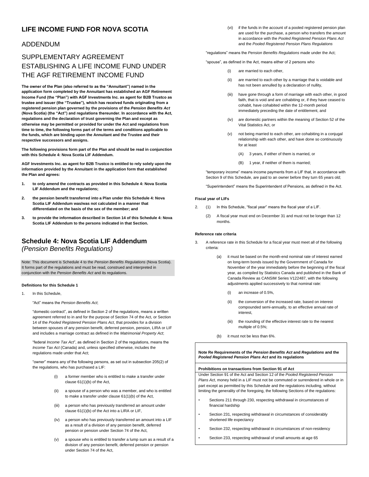# **LIFE INCOME FUND FOR NOVA SCOTIA**

# ADDENDUM

# ESTABLISHING A LIFE INCOME FUND UNDER SUPPLEMENTARY AGREEMENT THE AGF RETIREMENT INCOME FUND

**The owner of the Plan (also referred to as the "Annuitant") named in the application form completed by the Annuitant has established an AGF Retirement Income Fund (the "Plan") with AGF Investments Inc. as agent for B2B Trustco as trustee and issuer (the "Trustee"), which has received funds originating from a registered pension plan governed by the provisions of the** *Pension Benefits Act*  **(Nova Scotia) (the "Act") and regulations thereunder. In accordance with the Act, regulations and the declaration of trust governing the Plan and except as otherwise may be permitted or provided for under the Act and regulations from time to time, the following forms part of the terms and conditions applicable to the funds, which are binding upon the Annuitant and the Trustee and their respective successors and assigns.** 

**The following provisions form part of the Plan and should be read in conjunction with this Schedule 4: Nova Scotia LIF Addendum.** 

**AGF Investments Inc. as agent for B2B Trustco is entitled to rely solely upon the information provided by the Annuitant in the application form that established the Plan and agrees:** 

- **1. to only amend the contracts as provided in this Schedule 4: Nova Scotia LIF Addendum and the regulations;**
- **2. the pension benefit transferred into a Plan under this Schedule 4: Nova Scotia LIF Addendum was/was not calculated in a manner that differentiated on the basis of the sex of the member; and**
- **3. to provide the information described in Section 14 of this Schedule 4: Nova Scotia LIF Addendum to the persons indicated in that Section.**

# *(Pension Benefits Regulations)*  **Schedule 4: Nova Scotia LIF Addendum**

Note: This document is Schedule 4 to the *Pension Benefits Regulations* (Nova Scotia). It forms part of the regulations and must be read, construed and interpreted in conjunction with the *Pension Benefits Act* and its regulations.

## **Definitions for this Schedule 1**

1 In this Schedule

"Act" means the *Pension Benefits Act*;

"domestic contract", as defined in Section 2 of the regulations, means a written agreement referred to in and for the purpose of Section 74 of the Act, or Section 14 of the *Pooled Registered Pension Plans Act*, that provides for a division between spouses of any pension benefit, deferred pension, pension, LIRA or LIF and includes a marriage contract as defined in the *Matrimonial Property Act*;

"federal *Income Tax Act*", as defined in Section 2 of the regulations, means the *Income Tax Act* (Canada) and, unless specified otherwise, includes the regulations made under that Act;

"owner" means any of the following persons, as set out in subsection 205(2) of the regulations, who has purchased a LIF:

- (i) a former member who is entitled to make a transfer under clause 61(1)(b) of the Act,
- (ii) a spouse of a person who was a member, and who is entitled to make a transfer under clause 61(1)(b) of the Act,
- (iii) a person who has previously transferred an amount under clause 61(1)(b) of the Act into a LIRA or LIF,
- (iv) a person who has previously transferred an amount into a LIF as a result of a division of any pension benefit, deferred pension or pension under Section 74 of the Act,
- (v) a spouse who is entitled to transfer a lump sum as a result of a division of any pension benefit, deferred pension or pension under Section 74 of the Act,

(vi) if the funds in the account of a pooled registered pension plan are used for the purchase, a person who transfers the amount in accordance with the *Pooled Registered Pension Plans Act*  and the *Pooled Registered Pension Plans Regulations* 

"regulations" means the *Pension Benefits Regulations* made under the Act;

"spouse", as defined in the Act, means either of 2 persons who

- (i) are married to each other,
- (ii) are married to each other by a marriage that is voidable and has not been annulled by a declaration of nullity,
- (iii) have gone through a form of marriage with each other, in good faith, that is void and are cohabiting or, if they have ceased to cohabit, have cohabited within the 12-month period immediately preceding the date of entitlement, and
- (iv) are domestic partners within the meaning of Section 52 of the Vital Statistics Act, or
- (v) not being married to each other, are cohabiting in a conjugal relationship with each other, and have done so continuously for at least
	- (A) 3 years, if either of them is married, or
	- (B) 1 year, if neither of them is married;

"temporary income" means income payments from a LIF that, in accordance with Section 9 of this Schedule, are paid to an owner before they turn 65 years old;

"Superintendent" means the Superintendent of Pensions, as defined in the Act.

# **Fiscal year of LIFs**

- 2. (1) In this Schedule, "fiscal year" means the fiscal year of a LIF.
	- (2) A fiscal year must end on December 31 and must not be longer than 12 months.

# **Reference rate criteria**

- 3. A reference rate in this Schedule for a fiscal year must meet all of the following criteria:
	- (a) it must be based on the month-end nominal rate of interest earned on long-term bonds issued by the Government of Canada for November of the year immediately before the beginning of the fiscal year, as compiled by Statistics Canada and published in the Bank of Canada Review as CANSIM Series V122487, with the following adjustments applied successively to that nominal rate:
		- $(i)$  an increase of 0.5%.
		- (ii) the conversion of the increased rate, based on interest compounded semi-annually, to an effective annual rate of interest,
		- (iii) the rounding of the effective interest rate to the nearest multiple of 0.5%;
	- (b) it must not be less than 6%.

**Note Re Requirements of the** *Pension Benefits Act* **and** *Regulations* **and the**  *Pooled Registered Pension Plans Act* **and its regulations** 

#### **Prohibitions on transactions from Section 91 of Act**

Under Section 91 of the Act and Section 12 of the *Pooled Registered Pension Plans Act*, money held in a LIF must not be commuted or surrendered in whole or in part except as permitted by this Schedule and the regulations including, without limiting the generality of the foregoing, the following Sections of the regulations:

- Sections 211 through 230, respecting withdrawal in circumstances of financial hardship
- Section 231, respecting withdrawal in circumstances of considerably shortened life expectancy
- Section 232, respecting withdrawal in circumstances of non-residency
- Section 233, respecting withdrawal of small amounts at age 65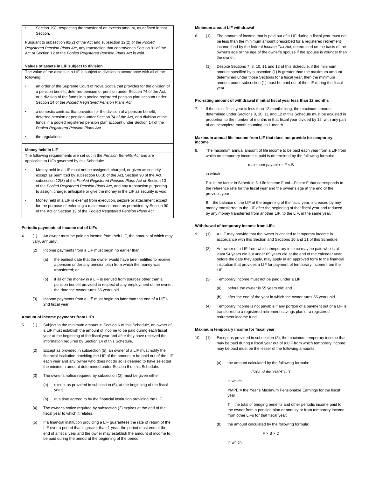• Section 198, respecting the transfer of an excess amount, as defined in that Section.

Pursuant to subsection 91(2) of the Act and subsection 12(2) of the *Pooled Registered Pension Plans Act*, any transaction that contravenes Section 91 of the Act or Section 12 of the *Pooled Registered Pension Plans Act* is void.

#### **Values of assets in LIF subject to division**

The value of the assets in a LIF is subject to division in accordance with all of the following:

- an order of the Supreme Court of Nova Scotia that provides for the division of a pension benefit, deferred pension or pension under Section 74 of the Act, or a division of the funds in a pooled registered pension plan account under Section 14 of the *Pooled Registered Pension Plans Act*
- a domestic contract that provides for the division of a pension benefit, deferred pension or pension under Section 74 of the Act, or a division of the funds in a pooled registered pension plan account under Section 14 of the *Pooled Registered Pension Plans Act*
- the regulations

# **Money held in LIF**

The following requirements are set out in the *Pension Benefits Act* and are applicable to LIFs governed by this Schedule:

- Money held in a LIF must not be assigned, charged, or given as security except as permitted by subsection 88(3) of the Act, Section 90 of the Act, subsection 12(3) of the *Pooled Registered Pension Plans Act* or Section 13 of the *Pooled Registered Pension Plans Act*, and any transaction purporting to assign, charge, anticipate or give the money in the LIF as security is void.
- Money held in a LIF is exempt from execution, seizure or attachment except for the purpose of enforcing a maintenance order as permitted by Section 90 of the Act or Section 13 of the *Pooled Registered Pension Plans Act*.

## **Periodic payments of income out of LIFs**

- 4. (1) An owner must be paid an income from their LIF, the amount of which may vary, annually.
	- (2) Income payments from a LIF must begin no earlier than
		- (a) the earliest date that the owner would have been entitled to receive a pension under any pension plan from which the money was transferred; or
		- (b) if all of the money in a LIF is derived from sources other than a pension benefit provided in respect of any employment of the owner, the date the owner turns 55 years old.
	- (3) Income payments from a LIF must begin no later than the end of a LIF's 2nd fiscal year.

# **Amount of income payments from LIFs**

- 5. (1) Subject to the minimum amount in Section 6 of this Schedule, an owner of a LIF must establish the amount of income to be paid during each fiscal year at the beginning of the fiscal year and after they have received the information required by Section 14 of this Schedule.
	- (2) Except as provided in subsection (5), an owner of a LIF must notify the financial institution providing the LIF of the amount to be paid out of the LIF each year and any owner who does not do so is deemed to have selected the minimum amount determined under Section 6 of this Schedule.
	- (3) The owner's notice required by subsection (2) must be given either
		- (a) except as provided in subsection (5), at the beginning of the fiscal year;
		- (b) at a time agreed to by the financial institution providing the LIF.
	- (4) The owner's notice required by subsection (2) expires at the end of the fiscal year to which it relates.
	- (5) If a financial institution providing a LIF guarantees the rate of return of the LIF over a period that is greater than 1 year, the period must end at the end of a fiscal year and the owner may establish the amount of income to be paid during the period at the beginning of the period.

#### **Minimum annual LIF withdrawal**

- 6. (1) The amount of income that is paid out of a LIF during a fiscal year must not be less than the minimum amount prescribed for a registered retirement income fund by the federal *Income Tax Act*, determined on the basis of the owner's age or the age of the owner's spouse if the spouse is younger than the owner.
	- (1) Despite Sections 7, 8, 10, 11 and 12 of this Schedule, if the minimum amount specified by subsection (1) is greater than the maximum amount determined under those Sections for a fiscal year, then the minimum amount under subsection (1) must be paid out of the LIF during the fiscal year.

## **Pro-rating amount of withdrawal if initial fiscal year less than 12 months**

7. If the initial fiscal year is less than 12 months long, the maximum amount determined under Sections 8, 10, 11 and 12 of this Schedule must be adjusted in proportion to the number of months in that fiscal year divided by 12, with any part of an incomplete month counting as 1 month.

#### **Maximum annual life income from LIF that does not provide for temporary income**

8. The maximum annual amount of life income to be paid each year from a LIF from which no temporary income is paid is determined by the following formula:

maximum payable =  $F \times B$ 

in which

F = is the factor in Schedule 5: Life Income Fund—Factor F that corresponds to the reference rate for the fiscal year and the owner's age at the end of the previous year

B = the balance of the LIF at the beginning of the fiscal year, increased by any money transferred to the LIF after the beginning of that fiscal year and reduced by any money transferred from another LIF, to the LIF, in the same year.

#### **Withdrawal of temporary income from LIFs**

- 9. (1) A LIF may provide that the owner is entitled to temporary income in accordance with this Section and Sections 10 and 11 of this Schedule.
	- (2) An owner of a LIF from which temporary income may be paid who is at least 54 years old but under 65 years old at the end of the calendar year before the date they apply, may apply in an approved form to the financial institution that provides a LIF for payment of temporary income from the LIF.
	- (3) Temporary income must not be paid under a LIF
		- (a) before the owner is 55 years old; and
		- (b) after the end of the year in which the owner turns 65 years old.
	- (4) Temporary income is not payable if any portion of a payment out of a LIF is transferred to a registered retirement savings plan or a registered retirement income fund.

#### **Maximum temporary income for fiscal year**

- 10. (1) Except as provided in subsection (2), the maximum temporary income that may be paid during a fiscal year out of a LIF from which temporary income may be paid must be the lesser of the following amounts:
	- (a) the amount calculated by the following formula:

(50% of the YMPE) - T

in which

YMPE = the Year's Maximum Pensionable Earnings for the fiscal year

 $T =$  the total of bridging benefits and other periodic income paid to the owner from a pension plan or annuity or from temporary income from other LIFs for that fiscal year;

the amount calculated by the following formula:

 $F \times B \times D$ 

in which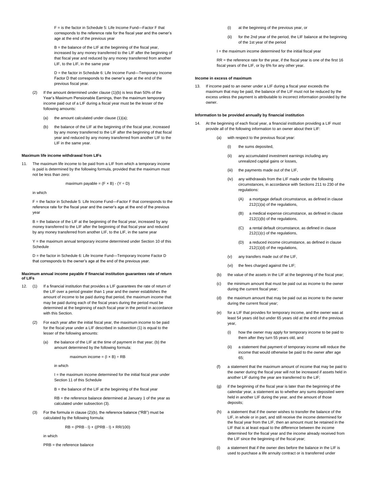F = is the factor in Schedule 5: Life Income Fund—Factor F that corresponds to the reference rate for the fiscal year and the owner's age at the end of the previous year

B = the balance of the LIF at the beginning of the fiscal year, increased by any money transferred to the LIF after the beginning of that fiscal year and reduced by any money transferred from another LIF, to the LIF, in the same year

D = the factor in Schedule 6: Life Income Fund—Temporary Income Factor D that corresponds to the owner's age at the end of the previous fiscal year.

- (2) If the amount determined under clause (1)(b) is less than 50% of the Year's Maximum Pensionable Earnings, then the maximum temporary income paid out of a LIF during a fiscal year must be the lesser of the following amounts:
	- (a) the amount calculated under clause  $(1)(a)$ ;
	- (b) the balance of the LIF at the beginning of the fiscal year, increased by any money transferred to the LIF after the beginning of that fiscal year and reduced by any money transferred from another LIF to the LIF in the same year.

#### **Maximum life income withdrawal from LIFs**

11. The maximum life income to be paid from a LIF from which a temporary income is paid is determined by the following formula, provided that the maximum must not be less than zero:

maximum payable =  $(F \times B) - (Y \div D)$ 

in which

F = the factor in Schedule 5: Life Income Fund—Factor F that corresponds to the reference rate for the fiscal year and the owner's age at the end of the previous year

B = the balance of the LIF at the beginning of the fiscal year, increased by any money transferred to the LIF after the beginning of that fiscal year and reduced by any money transferred from another LIF, to the LIF, in the same year

Y = the maximum annual temporary income determined under Section 10 of this Schedule

D = the factor in Schedule 6: Life Income Fund—Temporary Income Factor D that corresponds to the owner's age at the end of the previous year.

#### **Maximum annual income payable if financial institution guarantees rate of return of LIFs**

- 12. (1) If a financial institution that provides a LIF guarantees the rate of return of the LIF over a period greater than 1 year and the owner establishes the amount of income to be paid during that period, the maximum income that may be paid during each of the fiscal years during the period must be determined at the beginning of each fiscal year in the period in accordance with this Section.
	- For each year after the initial fiscal year, the maximum income to be paid for the fiscal year under a LIF described in subsection (1) is equal to the lesser of the following amounts:
		- (a) the balance of the LIF at the time of payment in that year; (b) the amount determined by the following formula:

maximum income =  $(I \times B)$   $\div$  RB

in which

I = the maximum income determined for the initial fiscal year under Section 11 of this Schedule

 $B =$  the balance of the LIF at the beginning of the fiscal year

RB = the reference balance determined at January 1 of the year as calculated under subsection (3).

(3) For the formula in clause (2)(b), the reference balance ("RB") must be calculated by the following formula:

 $RB = (PRB - I) + ((PRB - I) \times RR/100)$ 

in which

PRB = the reference balance

(i) at the beginning of the previous year, or

for the 2nd year of the period, the LIF balance at the beginning of the 1st year of the period

I = the maximum income determined for the initial fiscal year

 $RR =$  the reference rate for the year, if the fiscal year is one of the first 16 fiscal years of the LIF, or by 6% for any other year.

#### **Income in excess of maximum**

13. If income paid to an owner under a LIF during a fiscal year exceeds the maximum that may be paid, the balance of the LIF must not be reduced by the excess unless the payment is attributable to incorrect information provided by the owner.

## **Information to be provided annually by financial institution**

14. At the beginning of each fiscal year, a financial institution providing a LIF must provide all of the following information to an owner about their LIF:

with respect to the previous fiscal year:

- (i) the sums deposited.
- (ii) any accumulated investment earnings including any unrealized capital gains or losses,
- (iii) the payments made out of the LIF,
- (iv) any withdrawals from the LIF made under the following circumstances, in accordance with Sections 211 to 230 of the regulations:
	- (A) a mortgage default circumstance, as defined in clause 212(1)(a) of the regulations,
	- (B) a medical expense circumstance, as defined in clause 212(1)(b) of the regulations,
	- (C) a rental default circumstance, as defined in clause 212(1)(c) of the regulations,
	- (D) a reduced income circumstance, as defined in clause 212(1)(d) of the regulations,
- (v) any transfers made out of the LIF,
- (vi) the fees charged against the LIF;
- (b) the value of the assets in the LIF at the beginning of the fiscal year;
- (c) the minimum amount that must be paid out as income to the owner during the current fiscal year;
- (d) the maximum amount that may be paid out as income to the owner during the current fiscal year;
- (e) for a LIF that provides for temporary income, and the owner was at least 54 years old but under 65 years old at the end of the previous year,
	- (i) how the owner may apply for temporary income to be paid to them after they turn 55 years old, and
	- (ii) a statement that payment of temporary income will reduce the income that would otherwise be paid to the owner after age 65;
- (f) a statement that the maximum amount of income that may be paid to the owner during the fiscal year will not be increased if assets held in another LIF during the year are transferred to the LIF;
- (g) if the beginning of the fiscal year is later than the beginning of the calendar year, a statement as to whether any sums deposited were held in another LIF during the year, and the amount of those deposits;
- (h) a statement that if the owner wishes to transfer the balance of the LIF, in whole or in part, and still receive the income determined for the fiscal year from the LIF, then an amount must be retained in the LIF that is at least equal to the difference between the income determined for the fiscal year and the income already received from the LIF since the beginning of the fiscal year;
- (i) a statement that if the owner dies before the balance in the LIF is used to purchase a life annuity contract or is transferred under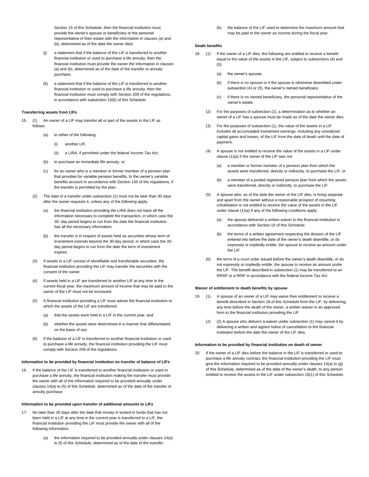Section 15 of this Schedule, then the financial institution must provide the owner's spouse or beneficiary or the personal representative of their estate with the information in clauses (a) and (b), determined as of the date the owner died;

- (i) a statement that if the balance of the LIF is transferred to another financial institution or used to purchase a life annuity, then the financial institution must provide the owner the information in clauses (a) and (b), determined as of the date of the transfer or annuity purchase;
- (k) a statement that if the balance of the LIF is transferred to another financial institution or used to purchase a life annuity, then the financial institution must comply with Section 209 of the regulations, in accordance with subsection 15(6) of this Schedule.

## **Transferring assets from LIFs**

- 15. (1) An owner of a LIF may transfer all or part of the assets in the LIF as follows:
	- to either of the following:
		- (i) another LIF.
		- (ii) a LIRA, if permitted under the federal *Income Tax Act*;
	- (b) to purchase an immediate life annuity; or
	- (c) for an owner who is a member or former member of a pension plan that provides for variable pension benefits, to the owner's variable benefits account in accordance with Section 150 of the regulations, if the transfer is permitted by the plan.
	- (2) The date of a transfer under subsection (1) must not be later than 30 days after the owner requests it, unless any of the following apply:
		- (a) the financial institution providing the LIRA does not have all the information necessary to complete the transaction, in which case the 30- day period begins to run from the date the financial institution has all the necessary information;
		- (b) the transfer is in respect of assets held as securities whose term of investment extends beyond the 30-day period, in which case the 30 day period begins to run from the date the term of investment expires.
	- (3) If assets in a LIF consist of identifiable and transferable securities, the financial institution providing the LIF may transfer the securities with the consent of the owner.
	- (4) If assets held in a LIF are transferred to another LIF at any time in the current fiscal year, the maximum amount of income that may be paid to the owner of the LIF must not be increased.
	- (5) A financial institution providing a LIF must advise the financial institution to which the assets of the LIF are transferred
		- (a) that the assets were held in a LIF in the current year; and
		- (b) whether the assets were determined in a manner that differentiated on the basis of sex.
	- (6) If the balance of a LIF is transferred to another financial institution or used to purchase a life annuity, the financial institution providing the LIF must comply with Section 209 of the regulations.

#### **Information to be provided by financial institution on transfer of balance of LIFs**

If the balance of the LIF is transferred to another financial institution or used to purchase a life annuity, the financial institution making the transfer must provide the owner with all of the information required to be provided annually under clauses 14(a) to (h) of this Schedule, determined as of the date of the transfer or annuity purchase.

#### **Information to be provided upon transfer of additional amounts to LIFs**

- 17. No later than 30 days after the date that money in locked-in funds that has not been held in a LIF at any time in the current year is transferred to a LIF, the financial institution providing the LIF must provide the owner with all of the following information:
	- (a) the information required to be provided annually under clauses  $14(a)$ to (f) of this Schedule, determined as of the date of the transfer;

(b) the balance of the LIF used to determine the maximum amount that may be paid to the owner as income during the fiscal year.

## **Death benefits**

- 18. (1) If the owner of a LIF dies, the following are entitled to receive a benefit equal to the value of the assets in the LIF, subject to subsections (4) and  $(5)$ :
	- (a) the owner's spouse:
	- (b) if there is no spouse or if the spouse is otherwise disentitled under subsection (4) or (5), the owner's named beneficiary;
	- (c) if there is no named beneficiary, the personal representative of the owner's estate.
	- (2) For the purposes of subsection (1), a determination as to whether an owner of a LIF has a spouse must be made as of the date the owner dies.
	- (3) For the purposes of subsection (1), the value of the assets in a LIF includes all accumulated investment earnings, including any unrealized capital gains and losses, of the LIF from the date of death until the date of payment.
	- (4) A spouse is not entitled to receive the value of the assets in a LIF under clause (1)(a) if the owner of the LIF was not
		- (a) a member or former member of a pension plan from which the assets were transferred, directly or indirectly, to purchase the LIF; or
		- (b) a member of a pooled registered pension plan from which the assets were transferred, directly or indirectly, to purchase the LIF.
	- (5) A spouse who, as of the date the owner of the LIF dies, is living separate and apart from the owner without a reasonable prospect of resuming cohabitation is not entitled to receive the value of the assets in the LIF under clause (1)(a) if any of the following conditions apply:
		- (a) the spouse delivered a written waiver to the financial institution in accordance with Section 19 of this Schedule;
		- (b) the terms of a written agreement respecting the division of the LIF entered into before the date of the owner's death disentitle, or do expressly or impliedly entitle, the spouse to receive an amount under the LIF
	- the terns of a court order issued before the owner's death disentitle, or do not expressly or impliedly entitle, the spouse to receive an amount under the LIF. The benefit described in subsection (1) may be transferred to an RRSP or a RRIF in accordance with the federal *Income Tax Act*.

#### **Waiver of entitlement to death benefits by spouse**

- 19. (1) A spouse of an owner of a LIF may waive their entitlement to receive a benefit described in Section 18 of this Schedule from the LIF, by delivering, any time before the death of the owner, a written waiver in an approved form to the financial institution providing the LIF.
	- $(2)$  (2) A spouse who delivers a waiver under subsection (1) may cancel it by delivering a written and signed notice of cancellation to the financial institution before the date the owner of the LIF dies.

#### **Information to be provided by financial institution on death of owner**

20. If the owner of a LIF dies before the balance in the LIF is transferred or used to purchase a life annuity contract, the financial institution providing the LIF must give the information required to be provided annually under clauses 14(a) to (g) of this Schedule, determined as of the date of the owner's death, to any person entitled to receive the assets in the LIF under subsection 18(1) of this Schedule.